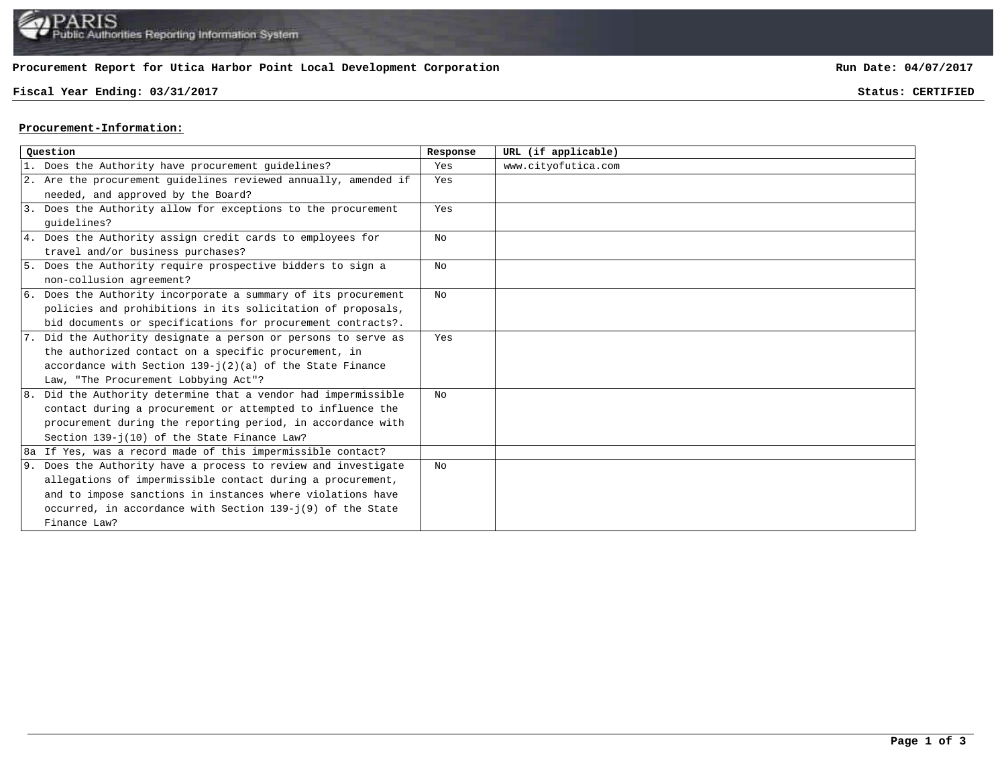## **Procurement Report for Utica Harbor Point Local Development Corporation**

## **Fiscal Year Ending: 03/31/2017 Status: CERTIFIED**

**Run Date: 04/07/2017**

## **Procurement-Information:**

| Ouestion |                                                                 | Response | URL (if applicable) |
|----------|-----------------------------------------------------------------|----------|---------------------|
|          | 1. Does the Authority have procurement quidelines?              | Yes      | www.cityofutica.com |
|          | 2. Are the procurement guidelines reviewed annually, amended if | Yes      |                     |
|          | needed, and approved by the Board?                              |          |                     |
|          | 3. Does the Authority allow for exceptions to the procurement   | Yes      |                     |
|          | quidelines?                                                     |          |                     |
|          | 4. Does the Authority assign credit cards to employees for      | No       |                     |
|          | travel and/or business purchases?                               |          |                     |
|          | 5. Does the Authority require prospective bidders to sign a     | No       |                     |
|          | non-collusion agreement?                                        |          |                     |
|          | 6. Does the Authority incorporate a summary of its procurement  | No       |                     |
|          | policies and prohibitions in its solicitation of proposals,     |          |                     |
|          | bid documents or specifications for procurement contracts?.     |          |                     |
|          | 7. Did the Authority designate a person or persons to serve as  | Yes      |                     |
|          | the authorized contact on a specific procurement, in            |          |                     |
|          | accordance with Section $139 - j(2)(a)$ of the State Finance    |          |                     |
|          | Law, "The Procurement Lobbying Act"?                            |          |                     |
|          | 8. Did the Authority determine that a vendor had impermissible  | No       |                     |
|          | contact during a procurement or attempted to influence the      |          |                     |
|          | procurement during the reporting period, in accordance with     |          |                     |
|          | Section 139-j(10) of the State Finance Law?                     |          |                     |
|          | 8a If Yes, was a record made of this impermissible contact?     |          |                     |
|          | 9. Does the Authority have a process to review and investigate  | No       |                     |
|          | allegations of impermissible contact during a procurement,      |          |                     |
|          | and to impose sanctions in instances where violations have      |          |                     |
|          | occurred, in accordance with Section 139-j(9) of the State      |          |                     |
|          | Finance Law?                                                    |          |                     |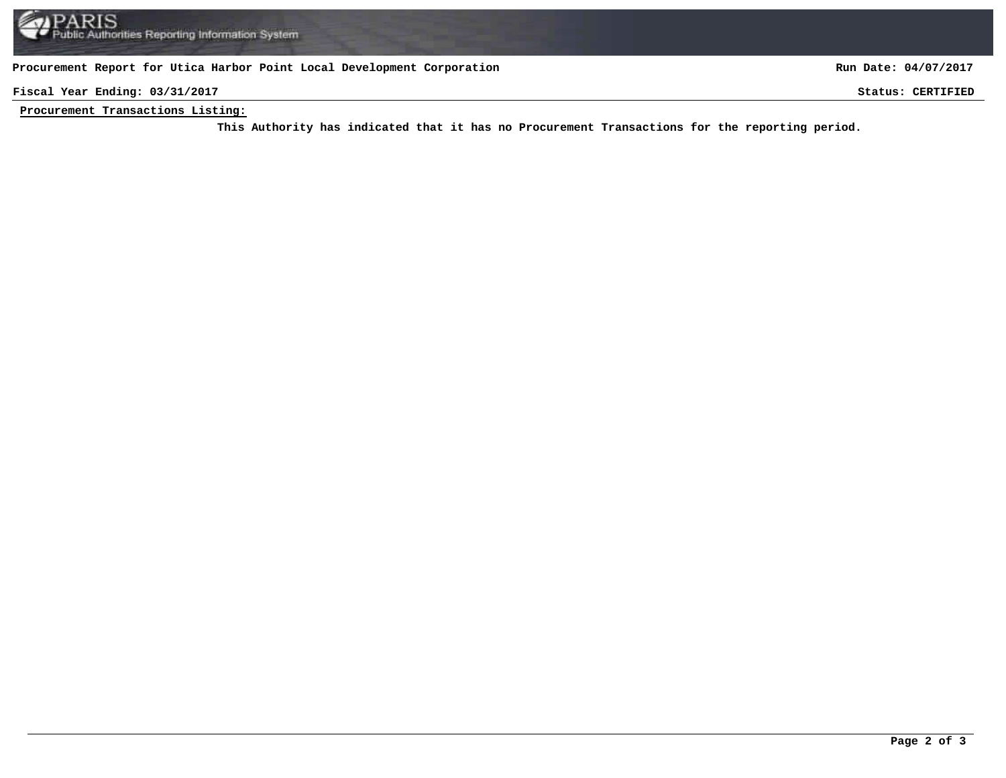## **Procurement Report for Utica Harbor Point Local Development Corporation**

**Run Date: 04/07/2017**

**Fiscal Year Ending: 03/31/2017 Status: CERTIFIED**

**Procurement Transactions Listing:**

This Authority has indicated that it has no Procurement Transactions for the reporting period.